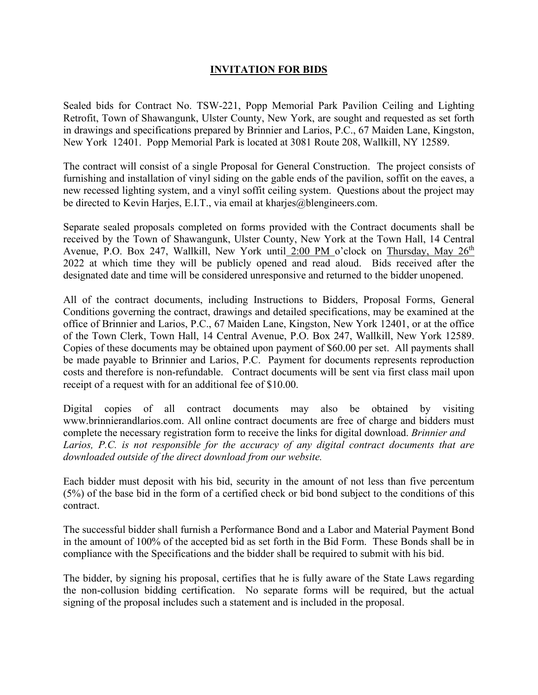## **INVITATION FOR BIDS**

Sealed bids for Contract No. TSW-221, Popp Memorial Park Pavilion Ceiling and Lighting Retrofit, Town of Shawangunk, Ulster County, New York, are sought and requested as set forth in drawings and specifications prepared by Brinnier and Larios, P.C., 67 Maiden Lane, Kingston, New York 12401. Popp Memorial Park is located at 3081 Route 208, Wallkill, NY 12589.

The contract will consist of a single Proposal for General Construction. The project consists of furnishing and installation of vinyl siding on the gable ends of the pavilion, soffit on the eaves, a new recessed lighting system, and a vinyl soffit ceiling system. Questions about the project may be directed to Kevin Harjes, E.I.T., via email at kharjes@blengineers.com.

Separate sealed proposals completed on forms provided with the Contract documents shall be received by the Town of Shawangunk, Ulster County, New York at the Town Hall, 14 Central Avenue, P.O. Box 247, Wallkill, New York until 2:00 PM o'clock on Thursday, May 26<sup>th</sup> 2022 at which time they will be publicly opened and read aloud. Bids received after the designated date and time will be considered unresponsive and returned to the bidder unopened.

All of the contract documents, including Instructions to Bidders, Proposal Forms, General Conditions governing the contract, drawings and detailed specifications, may be examined at the office of Brinnier and Larios, P.C., 67 Maiden Lane, Kingston, New York 12401, or at the office of the Town Clerk, Town Hall, 14 Central Avenue, P.O. Box 247, Wallkill, New York 12589. Copies of these documents may be obtained upon payment of \$60.00 per set. All payments shall be made payable to Brinnier and Larios, P.C. Payment for documents represents reproduction costs and therefore is non-refundable. Contract documents will be sent via first class mail upon receipt of a request with for an additional fee of \$10.00.

Digital copies of all contract documents may also be obtained by visiting www.brinnierandlarios.com. All online contract documents are free of charge and bidders must complete the necessary registration form to receive the links for digital download. *Brinnier and* Larios, P.C. is not responsible for the accuracy of any digital contract documents that are *downloaded outside of the direct download from our website.*

Each bidder must deposit with his bid, security in the amount of not less than five percentum (5%) of the base bid in the form of a certified check or bid bond subject to the conditions of this contract.

The successful bidder shall furnish a Performance Bond and a Labor and Material Payment Bond in the amount of 100% of the accepted bid as set forth in the Bid Form. These Bonds shall be in compliance with the Specifications and the bidder shall be required to submit with his bid.

The bidder, by signing his proposal, certifies that he is fully aware of the State Laws regarding the non-collusion bidding certification. No separate forms will be required, but the actual signing of the proposal includes such a statement and is included in the proposal.